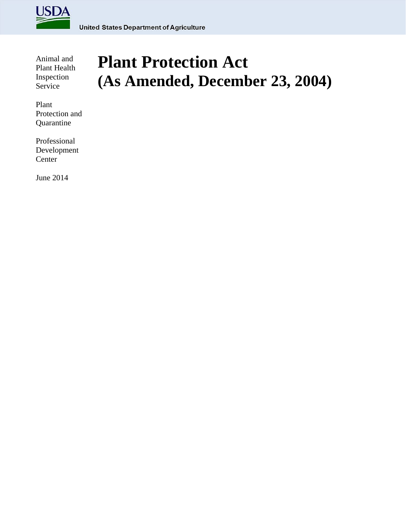

Animal and Plant Health Inspection Service

Plant Protection and Quarantine

Professional Development Center

June 2014

# **Plant Protection Act (As Amended, December 23, 2004)**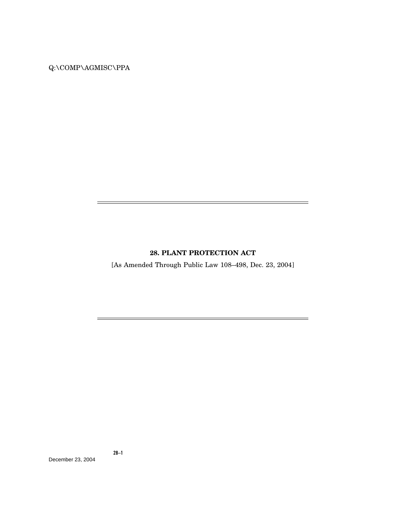# Q:\COMP\AGMISC\PPA

## **28. PLANT PROTECTION ACT**

÷

[As Amended Through Public Law 108–498, Dec. 23, 2004]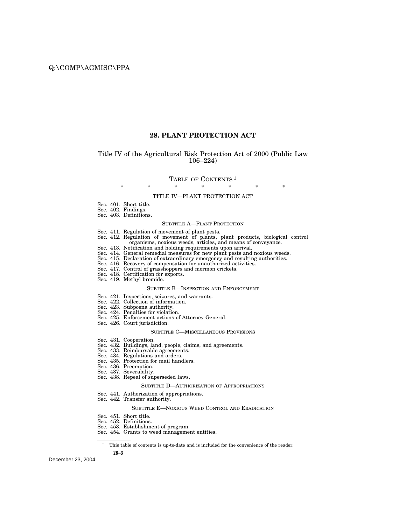### **28. PLANT PROTECTION ACT**

#### Title IV of the Agricultural Risk Protection Act of 2000 (Public Law 106–224)

#### TABLE OF CONTENTS<sup>1</sup>

#### \* \* \* \* \* \* \* TITLE IV—PLANT PROTECTION ACT

- Sec. 401. Short title.
- Sec. 402. Findings.
- Sec. 403. Definitions.

#### SUBTITLE A—PLANT PROTECTION

- Sec. 411. Regulation of movement of plant pests.
- Sec. 412. Regulation of movement of plants, plant products, biological control organisms, noxious weeds, articles, and means of conveyance.
- Sec. 413. Notification and holding requirements upon arrival.
- Sec. 414. General remedial measures for new plant pests and noxious weeds.
- Sec. 415. Declaration of extraordinary emergency and resulting authorities.
- Sec. 416. Recovery of compensation for unauthorized activities.
- Sec. 417. Control of grasshoppers and mormon crickets.
- Sec. 418. Certification for exports.
- Sec. 419. Methyl bromide.

#### SUBTITLE B—INSPECTION AND ENFORCEMENT

- Sec. 421. Inspections, seizures, and warrants.
- Sec. 422. Collection of information.
- Sec. 423. Subpoena authority.
- Sec. 424. Penalties for violation.
- Sec. 425. Enforcement actions of Attorney General.
- Sec. 426. Court jurisdiction.

#### SUBTITLE C—MISCELLANEOUS PROVISIONS

- Sec. 431. Cooperation.
- Sec. 432. Buildings, land, people, claims, and agreements.
- Sec. 433. Reimbursable agreements.
- Sec. 434. Regulations and orders.
- Sec. 435. Protection for mail handlers.
- Sec. 436. Preemption.
- Sec. 437. Severability.
- Sec. 438. Repeal of superseded laws.

#### SUBTITLE D—AUTHORIZATION OF APPROPRIATIONS

- Sec. 441. Authorization of appropriations.
- Sec. 442. Transfer authority.

#### SUBTITLE E—NOXIOUS WEED CONTROL AND ERADICATION

- Sec. 451. Short title.
- Sec. 452. Definitions.
- Sec. 453. Establishment of program.
- Sec. 454. Grants to weed management entities.

<sup>&</sup>lt;sup>1</sup> This table of contents is up-to-date and is included for the convenience of the reader.

**<sup>28–3</sup>**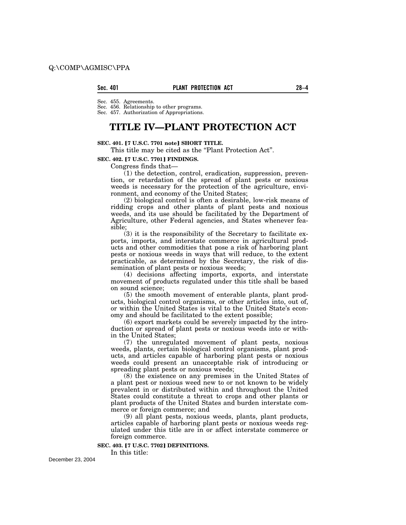#### **Sec. 401 PLANT PROTECTION ACT 28–4**

Sec. 455. Agreements.

Sec. 456. Relationship to other programs. Sec. 457. Authorization of Appropriations.

# **TITLE IV—PLANT PROTECTION ACT**

#### **SEC. 401.** ø**7 U.S.C. 7701 note**¿ **SHORT TITLE.**

This title may be cited as the "Plant Protection Act".

#### **SEC. 402. [7 U.S.C. 7701] FINDINGS.**

Congress finds that—

(1) the detection, control, eradication, suppression, prevention, or retardation of the spread of plant pests or noxious weeds is necessary for the protection of the agriculture, environment, and economy of the United States;

(2) biological control is often a desirable, low-risk means of ridding crops and other plants of plant pests and noxious weeds, and its use should be facilitated by the Department of Agriculture, other Federal agencies, and States whenever feasible;

(3) it is the responsibility of the Secretary to facilitate exports, imports, and interstate commerce in agricultural products and other commodities that pose a risk of harboring plant pests or noxious weeds in ways that will reduce, to the extent practicable, as determined by the Secretary, the risk of dissemination of plant pests or noxious weeds;

(4) decisions affecting imports, exports, and interstate movement of products regulated under this title shall be based on sound science;

(5) the smooth movement of enterable plants, plant products, biological control organisms, or other articles into, out of, or within the United States is vital to the United State's economy and should be facilitated to the extent possible;

(6) export markets could be severely impacted by the introduction or spread of plant pests or noxious weeds into or within the United States;

(7) the unregulated movement of plant pests, noxious weeds, plants, certain biological control organisms, plant products, and articles capable of harboring plant pests or noxious weeds could present an unacceptable risk of introducing or spreading plant pests or noxious weeds;

(8) the existence on any premises in the United States of a plant pest or noxious weed new to or not known to be widely prevalent in or distributed within and throughout the United States could constitute a threat to crops and other plants or plant products of the United States and burden interstate commerce or foreign commerce; and

(9) all plant pests, noxious weeds, plants, plant products, articles capable of harboring plant pests or noxious weeds regulated under this title are in or affect interstate commerce or foreign commerce.

**SEC. 403. [7 U.S.C. 7702] DEFINITIONS.** 

In this title: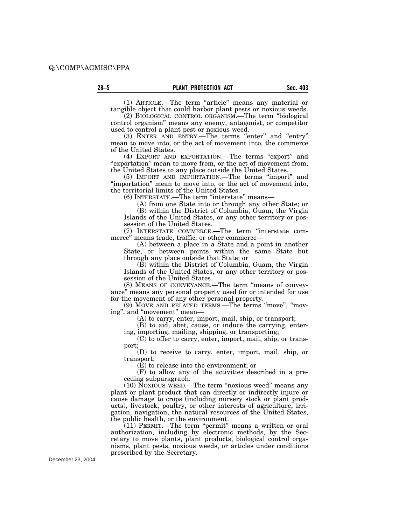(1) ARTICLE.—The term ''article'' means any material or tangible object that could harbor plant pests or noxious weeds.

(2) BIOLOGICAL CONTROL ORGANISM.—The term ''biological control organism'' means any enemy, antagonist, or competitor used to control a plant pest or noxious weed.

(3) ENTER AND ENTRY.—The terms "enter" and "entry" mean to move into, or the act of movement into, the commerce of the United States.

(4) EXPORT AND EXPORTATION.—The terms "export" and "exportation" mean to move from, or the act of movement from, the United States to any place outside the United States.

(5) IMPORT AND IMPORTATION.—The terms ''import'' and ''importation'' mean to move into, or the act of movement into, the territorial limits of the United States.

(6) INTERSTATE.—The term ''interstate'' means—

(A) from one State into or through any other State; or (B) within the District of Columbia, Guam, the Virgin Islands of the United States, or any other territory or possession of the United States.

(7) INTERSTATE COMMERCE.—The term ''interstate commerce'' means trade, traffic, or other commerce—

(A) between a place in a State and a point in another State, or between points within the same State but through any place outside that State; or

(B) within the District of Columbia, Guam, the Virgin Islands of the United States, or any other territory or possession of the United States.

(8) MEANS OF CONVEYANCE.—The term ''means of conveyance'' means any personal property used for or intended for use for the movement of any other personal property.

(9) MOVE AND RELATED TERMS.—The terms ''move'', ''moving", and "movement" mean—

(A) to carry, enter, import, mail, ship, or transport;

(B) to aid, abet, cause, or induce the carrying, entering, importing, mailing, shipping, or transporting;

(C) to offer to carry, enter, import, mail, ship, or transport;

(D) to receive to carry, enter, import, mail, ship, or transport;

(E) to release into the environment; or

(F) to allow any of the activities described in a preceding subparagraph.

(10) NOXIOUS WEED.—The term ''noxious weed'' means any plant or plant product that can directly or indirectly injure or cause damage to crops (including nursery stock or plant products), livestock, poultry, or other interests of agriculture, irrigation, navigation, the natural resources of the United States, the public health, or the environment.

(11) PERMIT.—The term ''permit'' means a written or oral authorization, including by electronic methods, by the Secretary to move plants, plant products, biological control organisms, plant pests, noxious weeds, or articles under conditions prescribed by the Secretary.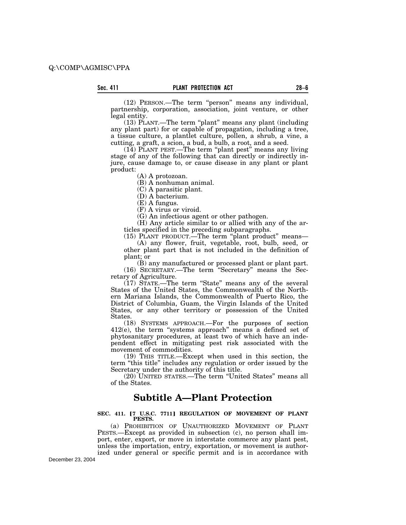(12) PERSON.—The term ''person'' means any individual, partnership, corporation, association, joint venture, or other legal entity.

(13) PLANT.—The term ''plant'' means any plant (including any plant part) for or capable of propagation, including a tree, a tissue culture, a plantlet culture, pollen, a shrub, a vine, a cutting, a graft, a scion, a bud, a bulb, a root, and a seed.

(14) PLANT PEST.—The term ''plant pest'' means any living stage of any of the following that can directly or indirectly injure, cause damage to, or cause disease in any plant or plant product:

(A) A protozoan.

(B) A nonhuman animal.

(C) A parasitic plant.

(D) A bacterium.

(E) A fungus.

(F) A virus or viroid.

(G) An infectious agent or other pathogen.

(H) Any article similar to or allied with any of the articles specified in the preceding subparagraphs.

(15) PLANT PRODUCT.—The term ''plant product'' means— (A) any flower, fruit, vegetable, root, bulb, seed, or

other plant part that is not included in the definition of plant; or

(B) any manufactured or processed plant or plant part. (16) SECRETARY.—The term ''Secretary'' means the Secretary of Agriculture.

(17) STATE.—The term ''State'' means any of the several States of the United States, the Commonwealth of the Northern Mariana Islands, the Commonwealth of Puerto Rico, the District of Columbia, Guam, the Virgin Islands of the United States, or any other territory or possession of the United States.

(18) SYSTEMS APPROACH.—For the purposes of section 412(e), the term ''systems approach'' means a defined set of phytosanitary procedures, at least two of which have an independent effect in mitigating pest risk associated with the movement of commodities.

(19) THIS TITLE.—Except when used in this section, the term ''this title'' includes any regulation or order issued by the Secretary under the authority of this title.

(20) UNITED STATES.—The term ''United States'' means all of the States.

# **Subtitle A—Plant Protection**

#### SEC. 411. **[7 U.S.C. 7711] REGULATION OF MOVEMENT OF PLANT PESTS.**

(a) PROHIBITION OF UNAUTHORIZED MOVEMENT OF PLANT PESTS.—Except as provided in subsection (c), no person shall import, enter, export, or move in interstate commerce any plant pest, unless the importation, entry, exportation, or movement is authorized under general or specific permit and is in accordance with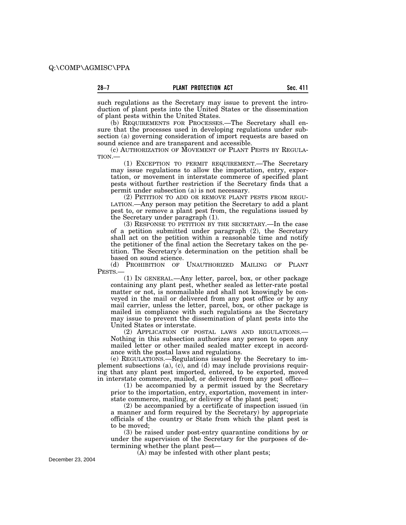such regulations as the Secretary may issue to prevent the introduction of plant pests into the United States or the dissemination of plant pests within the United States.

(b) REQUIREMENTS FOR PROCESSES.—The Secretary shall ensure that the processes used in developing regulations under subsection (a) governing consideration of import requests are based on sound science and are transparent and accessible.

(c) AUTHORIZATION OF MOVEMENT OF PLANT PESTS BY REGULA-TION.—

(1) EXCEPTION TO PERMIT REQUIREMENT.—The Secretary may issue regulations to allow the importation, entry, exportation, or movement in interstate commerce of specified plant pests without further restriction if the Secretary finds that a permit under subsection (a) is not necessary.

(2) PETITION TO ADD OR REMOVE PLANT PESTS FROM REGU-LATION.—Any person may petition the Secretary to add a plant pest to, or remove a plant pest from, the regulations issued by the Secretary under paragraph (1).

(3) RESPONSE TO PETITION BY THE SECRETARY.—In the case of a petition submitted under paragraph (2), the Secretary shall act on the petition within a reasonable time and notify the petitioner of the final action the Secretary takes on the petition. The Secretary's determination on the petition shall be based on sound science.

(d) PROHIBITION OF UNAUTHORIZED MAILING OF PLANT PESTS.

(1) IN GENERAL.—Any letter, parcel, box, or other package containing any plant pest, whether sealed as letter-rate postal matter or not, is nonmailable and shall not knowingly be conveyed in the mail or delivered from any post office or by any mail carrier, unless the letter, parcel, box, or other package is mailed in compliance with such regulations as the Secretary may issue to prevent the dissemination of plant pests into the United States or interstate.

(2) APPLICATION OF POSTAL LAWS AND REGULATIONS.— Nothing in this subsection authorizes any person to open any mailed letter or other mailed sealed matter except in accordance with the postal laws and regulations.

(e) REGULATIONS.—Regulations issued by the Secretary to implement subsections (a), (c), and (d) may include provisions requiring that any plant pest imported, entered, to be exported, moved in interstate commerce, mailed, or delivered from any post office—

(1) be accompanied by a permit issued by the Secretary prior to the importation, entry, exportation, movement in interstate commerce, mailing, or delivery of the plant pest;

(2) be accompanied by a certificate of inspection issued (in a manner and form required by the Secretary) by appropriate officials of the country or State from which the plant pest is to be moved;

(3) be raised under post-entry quarantine conditions by or under the supervision of the Secretary for the purposes of determining whether the plant pest—

(A) may be infested with other plant pests;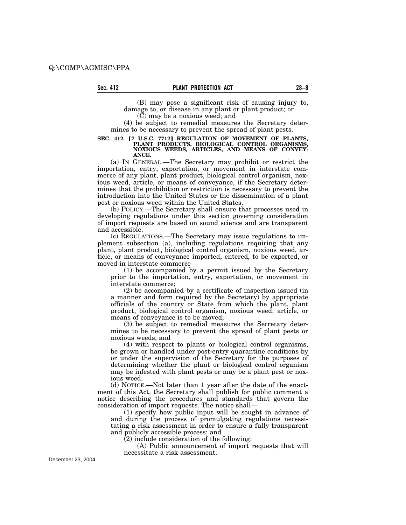(B) may pose a significant risk of causing injury to, damage to, or disease in any plant or plant product; or

(C) may be a noxious weed; and

(4) be subject to remedial measures the Secretary determines to be necessary to prevent the spread of plant pests.

#### SEC. 412. <sup>[7 U.S.C. 7712] REGULATION OF MOVEMENT OF PLANTS,</sup> **PLANT PRODUCTS, BIOLOGICAL CONTROL ORGANISMS, NOXIOUS WEEDS, ARTICLES, AND MEANS OF CONVEY-ANCE.**

(a) IN GENERAL.—The Secretary may prohibit or restrict the importation, entry, exportation, or movement in interstate commerce of any plant, plant product, biological control organism, noxious weed, article, or means of conveyance, if the Secretary determines that the prohibition or restriction is necessary to prevent the introduction into the United States or the dissemination of a plant pest or noxious weed within the United States.

(b) POLICY.—The Secretary shall ensure that processes used in developing regulations under this section governing consideration of import requests are based on sound science and are transparent and accessible.

(c) REGULATIONS.—The Secretary may issue regulations to implement subsection (a), including regulations requiring that any plant, plant product, biological control organism, noxious weed, article, or means of conveyance imported, entered, to be exported, or moved in interstate commerce—

(1) be accompanied by a permit issued by the Secretary prior to the importation, entry, exportation, or movement in interstate commerce;

(2) be accompanied by a certificate of inspection issued (in a manner and form required by the Secretary) by appropriate officials of the country or State from which the plant, plant product, biological control organism, noxious weed, article, or means of conveyance is to be moved;

(3) be subject to remedial measures the Secretary determines to be necessary to prevent the spread of plant pests or noxious weeds; and

(4) with respect to plants or biological control organisms, be grown or handled under post-entry quarantine conditions by or under the supervision of the Secretary for the purposes of determining whether the plant or biological control organism may be infested with plant pests or may be a plant pest or noxious weed.

(d) NOTICE.—Not later than 1 year after the date of the enactment of this Act, the Secretary shall publish for public comment a notice describing the procedures and standards that govern the consideration of import requests. The notice shall—

(1) specify how public input will be sought in advance of and during the process of promulgating regulations necessitating a risk assessment in order to ensure a fully transparent and publicly accessible process; and

(2) include consideration of the following:

(A) Public announcement of import requests that will necessitate a risk assessment.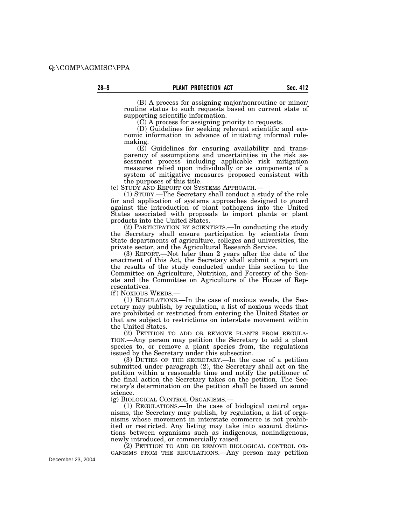(B) A process for assigning major/nonroutine or minor/ routine status to such requests based on current state of supporting scientific information.

(C) A process for assigning priority to requests.

(D) Guidelines for seeking relevant scientific and economic information in advance of initiating informal rulemaking.

(E) Guidelines for ensuring availability and transparency of assumptions and uncertainties in the risk assessment process including applicable risk mitigation measures relied upon individually or as components of a system of mitigative measures proposed consistent with the purposes of this title.<br>(e) STUDY AND REPORT ON SYSTEMS APPROACH.—

 $(1)$  STUDY.—The Secretary shall conduct a study of the role for and application of systems approaches designed to guard against the introduction of plant pathogens into the United States associated with proposals to import plants or plant products into the United States.

(2) PARTICIPATION BY SCIENTISTS.—In conducting the study the Secretary shall ensure participation by scientists from State departments of agriculture, colleges and universities, the private sector, and the Agricultural Research Service.

(3) REPORT.—Not later than 2 years after the date of the enactment of this Act, the Secretary shall submit a report on the results of the study conducted under this section to the Committee on Agriculture, Nutrition, and Forestry of the Senate and the Committee on Agriculture of the House of Representatives.

(f ) NOXIOUS WEEDS.—

(1) REGULATIONS.—In the case of noxious weeds, the Secretary may publish, by regulation, a list of noxious weeds that are prohibited or restricted from entering the United States or that are subject to restrictions on interstate movement within the United States.

(2) PETITION TO ADD OR REMOVE PLANTS FROM REGULA-TION.—Any person may petition the Secretary to add a plant species to, or remove a plant species from, the regulations issued by the Secretary under this subsection.

(3) DUTIES OF THE SECRETARY.—In the case of a petition submitted under paragraph (2), the Secretary shall act on the petition within a reasonable time and notify the petitioner of the final action the Secretary takes on the petition. The Secretary's determination on the petition shall be based on sound science.

(g) BIOLOGICAL CONTROL ORGANISMS.—

(1) REGULATIONS.—In the case of biological control organisms, the Secretary may publish, by regulation, a list of organisms whose movement in interstate commerce is not prohibited or restricted. Any listing may take into account distinctions between organisms such as indigenous, nonindigenous, newly introduced, or commercially raised.

(2) PETITION TO ADD OR REMOVE BIOLOGICAL CONTROL OR-GANISMS FROM THE REGULATIONS.—Any person may petition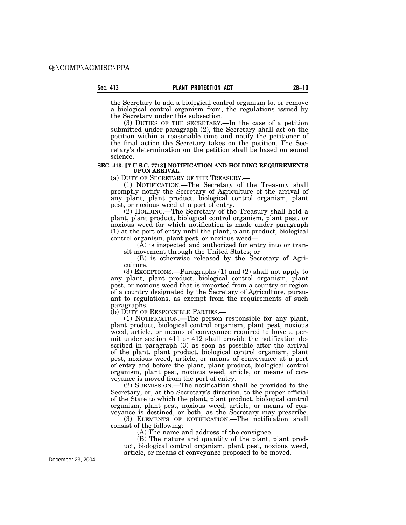the Secretary to add a biological control organism to, or remove a biological control organism from, the regulations issued by the Secretary under this subsection.

(3) DUTIES OF THE SECRETARY.—In the case of a petition submitted under paragraph (2), the Secretary shall act on the petition within a reasonable time and notify the petitioner of the final action the Secretary takes on the petition. The Secretary's determination on the petition shall be based on sound science.

#### **SEC. 413. [7 U.S.C. 7713] NOTIFICATION AND HOLDING REQUIREMENTS UPON ARRIVAL.**

(a) DUTY OF SECRETARY OF THE TREASURY.—

(1) NOTIFICATION.—The Secretary of the Treasury shall promptly notify the Secretary of Agriculture of the arrival of any plant, plant product, biological control organism, plant pest, or noxious weed at a port of entry.

(2) HOLDING.—The Secretary of the Treasury shall hold a plant, plant product, biological control organism, plant pest, or noxious weed for which notification is made under paragraph (1) at the port of entry until the plant, plant product, biological control organism, plant pest, or noxious weed—

 $(\overline{A})$  is inspected and authorized for entry into or transit movement through the United States; or

(B) is otherwise released by the Secretary of Agriculture.

(3) EXCEPTIONS.—Paragraphs (1) and (2) shall not apply to any plant, plant product, biological control organism, plant pest, or noxious weed that is imported from a country or region of a country designated by the Secretary of Agriculture, pursuant to regulations, as exempt from the requirements of such paragraphs.

(b) DUTY OF RESPONSIBLE PARTIES.—

(1) NOTIFICATION.—The person responsible for any plant, plant product, biological control organism, plant pest, noxious weed, article, or means of conveyance required to have a permit under section 411 or 412 shall provide the notification described in paragraph (3) as soon as possible after the arrival of the plant, plant product, biological control organism, plant pest, noxious weed, article, or means of conveyance at a port of entry and before the plant, plant product, biological control organism, plant pest, noxious weed, article, or means of conveyance is moved from the port of entry.

(2) SUBMISSION.—The notification shall be provided to the Secretary, or, at the Secretary's direction, to the proper official of the State to which the plant, plant product, biological control organism, plant pest, noxious weed, article, or means of conveyance is destined, or both, as the Secretary may prescribe.

(3) ELEMENTS OF NOTIFICATION.—The notification shall consist of the following:

(A) The name and address of the consignee.

(B) The nature and quantity of the plant, plant product, biological control organism, plant pest, noxious weed, article, or means of conveyance proposed to be moved.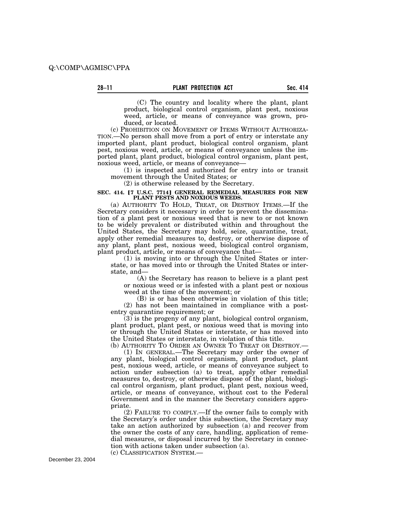(C) The country and locality where the plant, plant product, biological control organism, plant pest, noxious weed, article, or means of conveyance was grown, produced, or located.

(c) PROHIBITION ON MOVEMENT OF ITEMS WITHOUT AUTHORIZA-TION.—No person shall move from a port of entry or interstate any imported plant, plant product, biological control organism, plant pest, noxious weed, article, or means of conveyance unless the imported plant, plant product, biological control organism, plant pest, noxious weed, article, or means of conveyance—

(1) is inspected and authorized for entry into or transit movement through the United States; or

(2) is otherwise released by the Secretary.

#### **SEC. 414. [7 U.S.C. 7714] GENERAL REMEDIAL MEASURES FOR NEW PLANT PESTS AND NOXIOUS WEEDS.**

(a) AUTHORITY TO HOLD, TREAT, OR DESTROY ITEMS.—If the Secretary considers it necessary in order to prevent the dissemination of a plant pest or noxious weed that is new to or not known to be widely prevalent or distributed within and throughout the United States, the Secretary may hold, seize, quarantine, treat, apply other remedial measures to, destroy, or otherwise dispose of any plant, plant pest, noxious weed, biological control organism, plant product, article, or means of conveyance that—

(1) is moving into or through the United States or interstate, or has moved into or through the United States or interstate, and—

(A) the Secretary has reason to believe is a plant pest or noxious weed or is infested with a plant pest or noxious weed at the time of the movement; or

(B) is or has been otherwise in violation of this title; (2) has not been maintained in compliance with a postentry quarantine requirement; or

 $(3)$  is the progeny of any plant, biological control organism, plant product, plant pest, or noxious weed that is moving into or through the United States or interstate, or has moved into the United States or interstate, in violation of this title.

(b) AUTHORITY TO ORDER AN OWNER TO TREAT OR DESTROY.—

(1) IN GENERAL.—The Secretary may order the owner of any plant, biological control organism, plant product, plant pest, noxious weed, article, or means of conveyance subject to action under subsection (a) to treat, apply other remedial measures to, destroy, or otherwise dispose of the plant, biological control organism, plant product, plant pest, noxious weed, article, or means of conveyance, without cost to the Federal Government and in the manner the Secretary considers appropriate.

(2) FAILURE TO COMPLY.—If the owner fails to comply with the Secretary's order under this subsection, the Secretary may take an action authorized by subsection (a) and recover from the owner the costs of any care, handling, application of remedial measures, or disposal incurred by the Secretary in connection with actions taken under subsection (a).

(c) CLASSIFICATION SYSTEM.—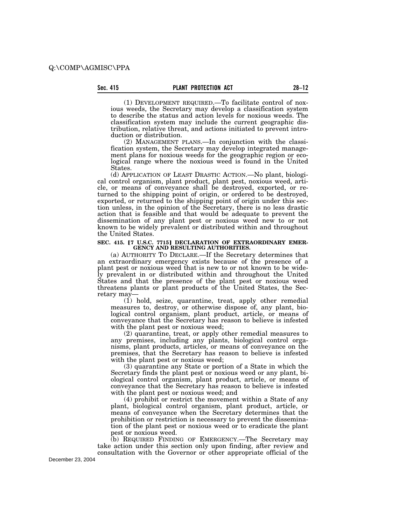(1) DEVELOPMENT REQUIRED.—To facilitate control of noxious weeds, the Secretary may develop a classification system to describe the status and action levels for noxious weeds. The classification system may include the current geographic distribution, relative threat, and actions initiated to prevent introduction or distribution.

(2) MANAGEMENT PLANS.—In conjunction with the classification system, the Secretary may develop integrated management plans for noxious weeds for the geographic region or ecological range where the noxious weed is found in the United States.

(d) APPLICATION OF LEAST DRASTIC ACTION.—No plant, biological control organism, plant product, plant pest, noxious weed, article, or means of conveyance shall be destroyed, exported, or returned to the shipping point of origin, or ordered to be destroyed, exported, or returned to the shipping point of origin under this section unless, in the opinion of the Secretary, there is no less drastic action that is feasible and that would be adequate to prevent the dissemination of any plant pest or noxious weed new to or not known to be widely prevalent or distributed within and throughout the United States.

# SEC. 415. **[7 U.S.C. 7715] DECLARATION OF EXTRAORDINARY EMER-**<br>GENCY AND RESULTING AUTHORITIES.

(a) AUTHORITY TO DECLARE.—If the Secretary determines that an extraordinary emergency exists because of the presence of a plant pest or noxious weed that is new to or not known to be widely prevalent in or distributed within and throughout the United States and that the presence of the plant pest or noxious weed threatens plants or plant products of the United States, the Secretary may—

(1) hold, seize, quarantine, treat, apply other remedial measures to, destroy, or otherwise dispose of, any plant, biological control organism, plant product, article, or means of conveyance that the Secretary has reason to believe is infested with the plant pest or noxious weed;

(2) quarantine, treat, or apply other remedial measures to any premises, including any plants, biological control organisms, plant products, articles, or means of conveyance on the premises, that the Secretary has reason to believe is infested with the plant pest or noxious weed;

(3) quarantine any State or portion of a State in which the Secretary finds the plant pest or noxious weed or any plant, biological control organism, plant product, article, or means of conveyance that the Secretary has reason to believe is infested with the plant pest or noxious weed; and

(4) prohibit or restrict the movement within a State of any plant, biological control organism, plant product, article, or means of conveyance when the Secretary determines that the prohibition or restriction is necessary to prevent the dissemination of the plant pest or noxious weed or to eradicate the plant pest or noxious weed.

(b) REQUIRED FINDING OF EMERGENCY.—The Secretary may take action under this section only upon finding, after review and consultation with the Governor or other appropriate official of the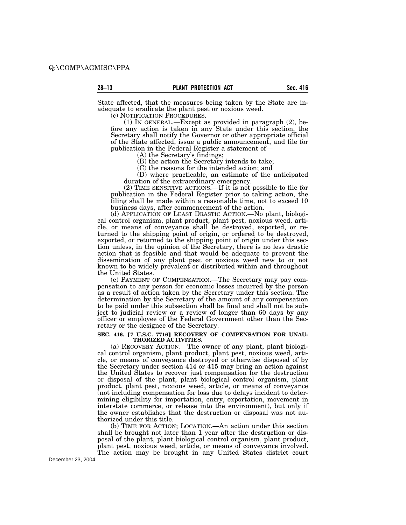State affected, that the measures being taken by the State are inadequate to eradicate the plant pest or noxious weed.<br>(c) NOTIFICATION PROCEDURES.—

(1) IN GENERAL.—Except as provided in paragraph  $(2)$ , before any action is taken in any State under this section, the Secretary shall notify the Governor or other appropriate official of the State affected, issue a public announcement, and file for publication in the Federal Register a statement of—

(A) the Secretary's findings;

(B) the action the Secretary intends to take;

(C) the reasons for the intended action; and

(D) where practicable, an estimate of the anticipated duration of the extraordinary emergency.

(2) TIME SENSITIVE ACTIONS.—If it is not possible to file for publication in the Federal Register prior to taking action, the filing shall be made within a reasonable time, not to exceed 10 business days, after commencement of the action.

(d) APPLICATION OF LEAST DRASTIC ACTION.—No plant, biological control organism, plant product, plant pest, noxious weed, article, or means of conveyance shall be destroyed, exported, or returned to the shipping point of origin, or ordered to be destroyed, exported, or returned to the shipping point of origin under this section unless, in the opinion of the Secretary, there is no less drastic action that is feasible and that would be adequate to prevent the dissemination of any plant pest or noxious weed new to or not known to be widely prevalent or distributed within and throughout the United States.

(e) PAYMENT OF COMPENSATION.—The Secretary may pay compensation to any person for economic losses incurred by the person as a result of action taken by the Secretary under this section. The determination by the Secretary of the amount of any compensation to be paid under this subsection shall be final and shall not be subject to judicial review or a review of longer than 60 days by any officer or employee of the Federal Government other than the Secretary or the designee of the Secretary.

# SEC. 416. [7 U.S.C. 7716] RECOVERY OF COMPENSATION FOR UNAU-<br> **THORIZED ACTIVITIES.**

(a) RECOVERY ACTION.—The owner of any plant, plant biological control organism, plant product, plant pest, noxious weed, article, or means of conveyance destroyed or otherwise disposed of by the Secretary under section 414 or 415 may bring an action against the United States to recover just compensation for the destruction or disposal of the plant, plant biological control organism, plant product, plant pest, noxious weed, article, or means of conveyance (not including compensation for loss due to delays incident to determining eligibility for importation, entry, exportation, movement in interstate commerce, or release into the environment), but only if the owner establishes that the destruction or disposal was not authorized under this title.

(b) TIME FOR ACTION; LOCATION.—An action under this section shall be brought not later than 1 year after the destruction or disposal of the plant, plant biological control organism, plant product, plant pest, noxious weed, article, or means of conveyance involved. The action may be brought in any United States district court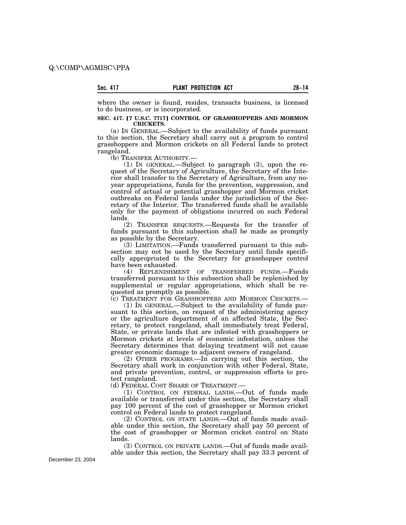where the owner is found, resides, transacts business, is licensed to do business, or is incorporated.

#### **SEC. 417.** ø**7 U.S.C. 7717**¿ **CONTROL OF GRASSHOPPERS AND MORMON CRICKETS.**

(a) IN GENERAL.—Subject to the availability of funds pursuant to this section, the Secretary shall carry out a program to control grasshoppers and Mormon crickets on all Federal lands to protect rangeland.

(b) TRANSFER AUTHORITY.—

(1) IN GENERAL.—Subject to paragraph (3), upon the request of the Secretary of Agriculture, the Secretary of the Interior shall transfer to the Secretary of Agriculture, from any noyear appropriations, funds for the prevention, suppression, and control of actual or potential grasshopper and Mormon cricket outbreaks on Federal lands under the jurisdiction of the Secretary of the Interior. The transferred funds shall be available only for the payment of obligations incurred on such Federal lands.

(2) TRANSFER REQUESTS.—Requests for the transfer of funds pursuant to this subsection shall be made as promptly as possible by the Secretary.

(3) LIMITATION.—Funds transferred pursuant to this subsection may not be used by the Secretary until funds specifically appropriated to the Secretary for grasshopper control have been exhausted.

(4) REPLENISHMENT OF TRANSFERRED FUNDS.—Funds transferred pursuant to this subsection shall be replenished by supplemental or regular appropriations, which shall be requested as promptly as possible.

(c) TREATMENT FOR GRASSHOPPERS AND MORMON CRICKETS.—

(1) IN GENERAL.—Subject to the availability of funds pursuant to this section, on request of the administering agency or the agriculture department of an affected State, the Secretary, to protect rangeland, shall immediately treat Federal, State, or private lands that are infested with grasshoppers or Mormon crickets at levels of economic infestation, unless the Secretary determines that delaying treatment will not cause greater economic damage to adjacent owners of rangeland.

(2) OTHER PROGRAMS.—In carrying out this section, the Secretary shall work in conjunction with other Federal, State, and private prevention, control, or suppression efforts to protect rangeland.

(d) FEDERAL COST SHARE OF TREATMENT.—

(1) CONTROL ON FEDERAL LANDS.—Out of funds made available or transferred under this section, the Secretary shall pay 100 percent of the cost of grasshopper or Mormon cricket control on Federal lands to protect rangeland.

(2) CONTROL ON STATE LANDS.—Out of funds made available under this section, the Secretary shall pay 50 percent of the cost of grasshopper or Mormon cricket control on State lands.

(3) CONTROL ON PRIVATE LANDS.—Out of funds made available under this section, the Secretary shall pay 33.3 percent of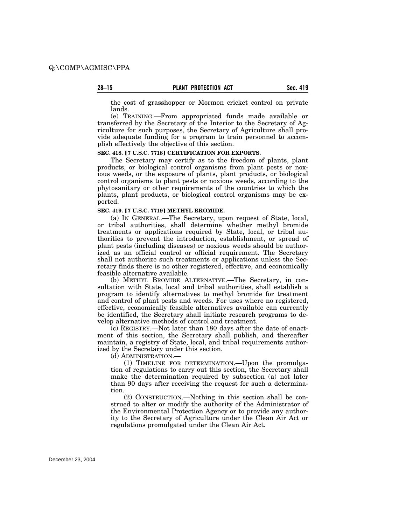the cost of grasshopper or Mormon cricket control on private lands.

(e) TRAINING.—From appropriated funds made available or transferred by the Secretary of the Interior to the Secretary of Agriculture for such purposes, the Secretary of Agriculture shall provide adequate funding for a program to train personnel to accomplish effectively the objective of this section.

#### SEC. 418. <sup>[7 U.S.C. 7718] CERTIFICATION FOR EXPORTS.</sup>

The Secretary may certify as to the freedom of plants, plant products, or biological control organisms from plant pests or noxious weeds, or the exposure of plants, plant products, or biological control organisms to plant pests or noxious weeds, according to the phytosanitary or other requirements of the countries to which the plants, plant products, or biological control organisms may be exported.

#### **SEC. 419. [7 U.S.C. 7719] METHYL BROMIDE.**

(a) IN GENERAL.—The Secretary, upon request of State, local, or tribal authorities, shall determine whether methyl bromide treatments or applications required by State, local, or tribal authorities to prevent the introduction, establishment, or spread of plant pests (including diseases) or noxious weeds should be authorized as an official control or official requirement. The Secretary shall not authorize such treatments or applications unless the Secretary finds there is no other registered, effective, and economically feasible alternative available.

(b) METHYL BROMIDE ALTERNATIVE.—The Secretary, in consultation with State, local and tribal authorities, shall establish a program to identify alternatives to methyl bromide for treatment and control of plant pests and weeds. For uses where no registered, effective, economically feasible alternatives available can currently be identified, the Secretary shall initiate research programs to develop alternative methods of control and treatment.

(c) REGISTRY.—Not later than 180 days after the date of enactment of this section, the Secretary shall publish, and thereafter maintain, a registry of State, local, and tribal requirements authorized by the Secretary under this section.

(d) ADMINISTRATION.—

(1) TIMELINE FOR DETERMINATION.—Upon the promulgation of regulations to carry out this section, the Secretary shall make the determination required by subsection (a) not later than 90 days after receiving the request for such a determination.

(2) CONSTRUCTION.—Nothing in this section shall be construed to alter or modify the authority of the Administrator of the Environmental Protection Agency or to provide any authority to the Secretary of Agriculture under the Clean Air Act or regulations promulgated under the Clean Air Act.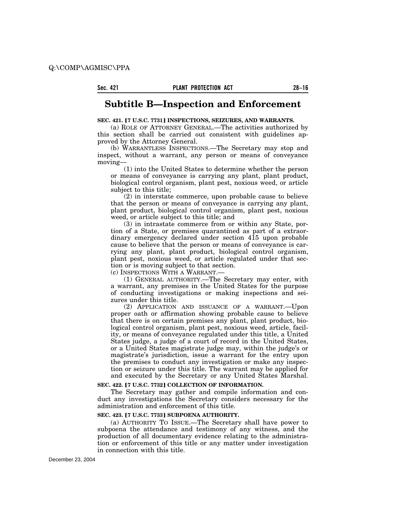### **Subtitle B—Inspection and Enforcement**

#### **SEC. 421. [7 U.S.C. 7731] INSPECTIONS, SEIZURES, AND WARRANTS.**

(a) ROLE OF ATTORNEY GENERAL.—The activities authorized by this section shall be carried out consistent with guidelines approved by the Attorney General.

(b) WARRANTLESS INSPECTIONS.—The Secretary may stop and inspect, without a warrant, any person or means of conveyance moving—

(1) into the United States to determine whether the person or means of conveyance is carrying any plant, plant product, biological control organism, plant pest, noxious weed, or article subject to this title;

(2) in interstate commerce, upon probable cause to believe that the person or means of conveyance is carrying any plant, plant product, biological control organism, plant pest, noxious weed, or article subject to this title; and

(3) in intrastate commerce from or within any State, portion of a State, or premises quarantined as part of a extraordinary emergency declared under section 415 upon probable cause to believe that the person or means of conveyance is carrying any plant, plant product, biological control organism, plant pest, noxious weed, or article regulated under that section or is moving subject to that section.

(c) INSPECTIONS WITH A WARRANT.—

(1) GENERAL AUTHORITY.—The Secretary may enter, with a warrant, any premises in the United States for the purpose of conducting investigations or making inspections and seizures under this title.

(2) APPLICATION AND ISSUANCE OF A WARRANT.—Upon proper oath or affirmation showing probable cause to believe that there is on certain premises any plant, plant product, biological control organism, plant pest, noxious weed, article, facility, or means of conveyance regulated under this title, a United States judge, a judge of a court of record in the United States, or a United States magistrate judge may, within the judge's or magistrate's jurisdiction, issue a warrant for the entry upon the premises to conduct any investigation or make any inspection or seizure under this title. The warrant may be applied for and executed by the Secretary or any United States Marshal.

#### **SEC. 422. [7 U.S.C. 7732] COLLECTION OF INFORMATION.**

The Secretary may gather and compile information and conduct any investigations the Secretary considers necessary for the administration and enforcement of this title.

#### **SEC. 423. [7 U.S.C. 7733] SUBPOENA AUTHORITY.**

(a) AUTHORITY TO ISSUE.—The Secretary shall have power to subpoena the attendance and testimony of any witness, and the production of all documentary evidence relating to the administration or enforcement of this title or any matter under investigation in connection with this title.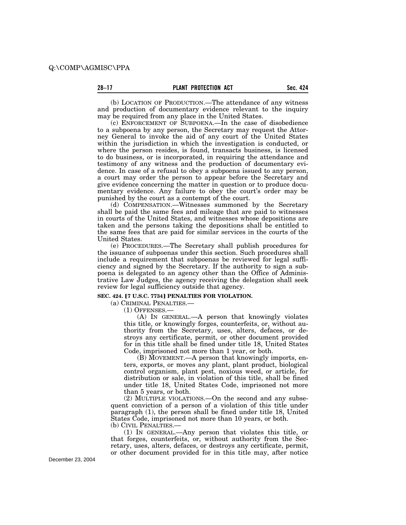(b) LOCATION OF PRODUCTION.—The attendance of any witness and production of documentary evidence relevant to the inquiry may be required from any place in the United States.

(c) ENFORCEMENT OF SUBPOENA.—In the case of disobedience to a subpoena by any person, the Secretary may request the Attorney General to invoke the aid of any court of the United States within the jurisdiction in which the investigation is conducted, or where the person resides, is found, transacts business, is licensed to do business, or is incorporated, in requiring the attendance and testimony of any witness and the production of documentary evidence. In case of a refusal to obey a subpoena issued to any person, a court may order the person to appear before the Secretary and give evidence concerning the matter in question or to produce documentary evidence. Any failure to obey the court's order may be punished by the court as a contempt of the court.

(d) COMPENSATION.—Witnesses summoned by the Secretary shall be paid the same fees and mileage that are paid to witnesses in courts of the United States, and witnesses whose depositions are taken and the persons taking the depositions shall be entitled to the same fees that are paid for similar services in the courts of the United States.

(e) PROCEDURES.—The Secretary shall publish procedures for the issuance of subpoenas under this section. Such procedures shall include a requirement that subpoenas be reviewed for legal sufficiency and signed by the Secretary. If the authority to sign a subpoena is delegated to an agency other than the Office of Administrative Law Judges, the agency receiving the delegation shall seek review for legal sufficiency outside that agency.

**SEC. 424. [7 U.S.C. 7734] PENALTIES FOR VIOLATION.** 

(a) CRIMINAL PENALTIES.—

(1) OFFENSES.—

(A) IN GENERAL.—A person that knowingly violates this title, or knowingly forges, counterfeits, or, without authority from the Secretary, uses, alters, defaces, or destroys any certificate, permit, or other document provided for in this title shall be fined under title 18, United States Code, imprisoned not more than 1 year, or both.

(B) MOVEMENT.—A person that knowingly imports, enters, exports, or moves any plant, plant product, biological control organism, plant pest, noxious weed, or article, for distribution or sale, in violation of this title, shall be fined under title 18, United States Code, imprisoned not more than 5 years, or both.

(2) MULTIPLE VIOLATIONS.—On the second and any subsequent conviction of a person of a violation of this title under paragraph (1), the person shall be fined under title 18, United States Code, imprisoned not more than 10 years, or both. (b) CIVIL PENALTIES.—

(1) IN GENERAL.—Any person that violates this title, or that forges, counterfeits, or, without authority from the Secretary, uses, alters, defaces, or destroys any certificate, permit, or other document provided for in this title may, after notice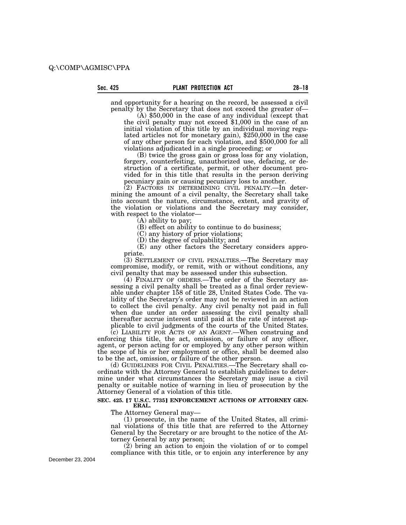and opportunity for a hearing on the record, be assessed a civil penalty by the Secretary that does not exceed the greater of-

 $\check{\text{(A)}}$  \$50,000 in the case of any individual (except that the civil penalty may not exceed \$1,000 in the case of an initial violation of this title by an individual moving regulated articles not for monetary gain), \$250,000 in the case of any other person for each violation, and \$500,000 for all violations adjudicated in a single proceeding; or

(B) twice the gross gain or gross loss for any violation, forgery, counterfeiting, unauthorized use, defacing, or destruction of a certificate, permit, or other document provided for in this title that results in the person deriving pecuniary gain or causing pecuniary loss to another.

(2) FACTORS IN DETERMINING CIVIL PENALTY.—In determining the amount of a civil penalty, the Secretary shall take into account the nature, circumstance, extent, and gravity of the violation or violations and the Secretary may consider, with respect to the violator—

(A) ability to pay;

(B) effect on ability to continue to do business;

(C) any history of prior violations;

(D) the degree of culpability; and

(E) any other factors the Secretary considers appropriate.

(3) SETTLEMENT OF CIVIL PENALTIES.—The Secretary may compromise, modify, or remit, with or without conditions, any civil penalty that may be assessed under this subsection.

(4) FINALITY OF ORDERS.—The order of the Secretary assessing a civil penalty shall be treated as a final order reviewable under chapter 158 of title 28, United States Code. The validity of the Secretary's order may not be reviewed in an action to collect the civil penalty. Any civil penalty not paid in full when due under an order assessing the civil penalty shall thereafter accrue interest until paid at the rate of interest applicable to civil judgments of the courts of the United States.

(c) LIABILITY FOR ACTS OF AN AGENT.—When construing and enforcing this title, the act, omission, or failure of any officer, agent, or person acting for or employed by any other person within the scope of his or her employment or office, shall be deemed also to be the act, omission, or failure of the other person.

(d) GUIDELINES FOR CIVIL PENALTIES.—The Secretary shall coordinate with the Attorney General to establish guidelines to determine under what circumstances the Secretary may issue a civil penalty or suitable notice of warning in lieu of prosecution by the Attorney General of a violation of this title.

#### SEC. 425. <sup>[7 U.S.C. 7735] ENFORCEMENT ACTIONS OF ATTORNEY GEN-</sup> **ERAL.**

The Attorney General may—

(1) prosecute, in the name of the United States, all criminal violations of this title that are referred to the Attorney General by the Secretary or are brought to the notice of the Attorney General by any person;

(2) bring an action to enjoin the violation of or to compel compliance with this title, or to enjoin any interference by any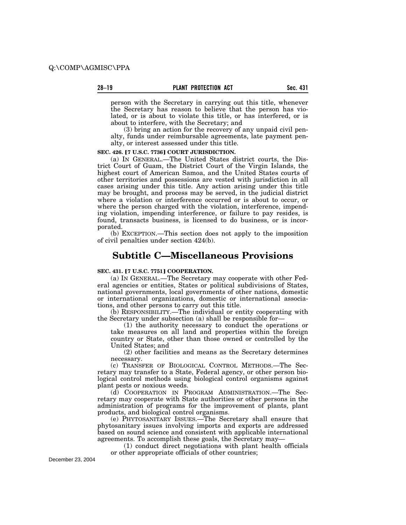person with the Secretary in carrying out this title, whenever the Secretary has reason to believe that the person has violated, or is about to violate this title, or has interfered, or is about to interfere, with the Secretary; and

(3) bring an action for the recovery of any unpaid civil penalty, funds under reimbursable agreements, late payment penalty, or interest assessed under this title.

#### **SEC. 426. [7 U.S.C. 7736] COURT JURISDICTION.**

(a) IN GENERAL.—The United States district courts, the District Court of Guam, the District Court of the Virgin Islands, the highest court of American Samoa, and the United States courts of other territories and possessions are vested with jurisdiction in all cases arising under this title. Any action arising under this title may be brought, and process may be served, in the judicial district where a violation or interference occurred or is about to occur, or where the person charged with the violation, interference, impending violation, impending interference, or failure to pay resides, is found, transacts business, is licensed to do business, or is incorporated.

(b) EXCEPTION.—This section does not apply to the imposition of civil penalties under section 424(b).

# **Subtitle C—Miscellaneous Provisions**

#### **SEC. 431. [7 U.S.C. 7751] COOPERATION.**

(a) IN GENERAL.—The Secretary may cooperate with other Federal agencies or entities, States or political subdivisions of States, national governments, local governments of other nations, domestic or international organizations, domestic or international associations, and other persons to carry out this title.

(b) RESPONSIBILITY.—The individual or entity cooperating with the Secretary under subsection (a) shall be responsible for—

(1) the authority necessary to conduct the operations or take measures on all land and properties within the foreign country or State, other than those owned or controlled by the United States; and

(2) other facilities and means as the Secretary determines necessary.

(c) TRANSFER OF BIOLOGICAL CONTROL METHODS.—The Secretary may transfer to a State, Federal agency, or other person biological control methods using biological control organisms against plant pests or noxious weeds.

(d) COOPERATION IN PROGRAM ADMINISTRATION.—The Secretary may cooperate with State authorities or other persons in the administration of programs for the improvement of plants, plant products, and biological control organisms.

(e) PHYTOSANITARY ISSUES.—The Secretary shall ensure that phytosanitary issues involving imports and exports are addressed based on sound science and consistent with applicable international agreements. To accomplish these goals, the Secretary may—

(1) conduct direct negotiations with plant health officials or other appropriate officials of other countries;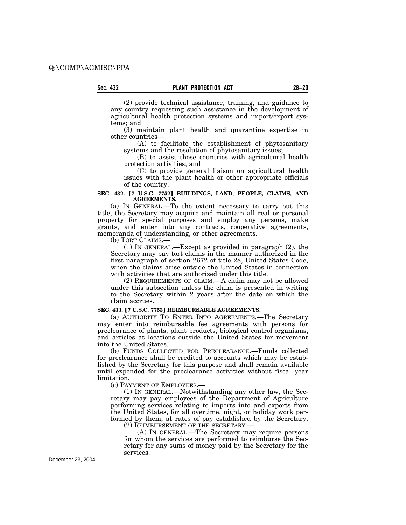(2) provide technical assistance, training, and guidance to any country requesting such assistance in the development of agricultural health protection systems and import/export systems; and

(3) maintain plant health and quarantine expertise in other countries—

(A) to facilitate the establishment of phytosanitary systems and the resolution of phytosanitary issues;

(B) to assist those countries with agricultural health protection activities; and

(C) to provide general liaison on agricultural health issues with the plant health or other appropriate officials of the country.

#### SEC. 432. <sup>[7 U.S.C. 7752] BUILDINGS, LAND, PEOPLE, CLAIMS, AND</sup> **AGREEMENTS.**

(a) IN GENERAL.—To the extent necessary to carry out this title, the Secretary may acquire and maintain all real or personal property for special purposes and employ any persons, make grants, and enter into any contracts, cooperative agreements, memoranda of understanding, or other agreements.

(b) TORT CLAIMS.—

(1) IN GENERAL.—Except as provided in paragraph (2), the Secretary may pay tort claims in the manner authorized in the first paragraph of section 2672 of title 28, United States Code, when the claims arise outside the United States in connection with activities that are authorized under this title.

(2) REQUIREMENTS OF CLAIM.—A claim may not be allowed under this subsection unless the claim is presented in writing to the Secretary within 2 years after the date on which the claim accrues.

#### SEC. 433. <sup>[7 U.S.C. 7753] REIMBURSABLE AGREEMENTS.</sup>

(a) AUTHORITY TO ENTER INTO AGREEMENTS.—The Secretary may enter into reimbursable fee agreements with persons for preclearance of plants, plant products, biological control organisms, and articles at locations outside the United States for movement into the United States.

(b) FUNDS COLLECTED FOR PRECLEARANCE.—Funds collected for preclearance shall be credited to accounts which may be established by the Secretary for this purpose and shall remain available until expended for the preclearance activities without fiscal year limitation.

(c) PAYMENT OF EMPLOYEES.—

(1) IN GENERAL.—Notwithstanding any other law, the Secretary may pay employees of the Department of Agriculture performing services relating to imports into and exports from the United States, for all overtime, night, or holiday work performed by them, at rates of pay established by the Secretary.

(2) REIMBURSEMENT OF THE SECRETARY.—

(A) IN GENERAL.—The Secretary may require persons for whom the services are performed to reimburse the Secretary for any sums of money paid by the Secretary for the services.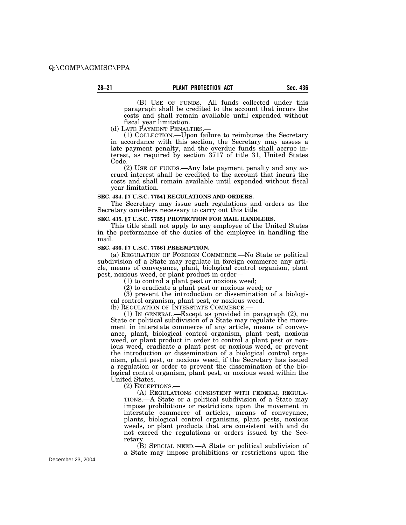(B) USE OF FUNDS.—All funds collected under this paragraph shall be credited to the account that incurs the costs and shall remain available until expended without

fiscal year limitation.<br>(d) LATE PAYMENT PENALTIES.

(1) COLLECTION.—Upon failure to reimburse the Secretary in accordance with this section, the Secretary may assess a late payment penalty, and the overdue funds shall accrue interest, as required by section 3717 of title 31, United States Code.

(2) USE OF FUNDS.—Any late payment penalty and any accrued interest shall be credited to the account that incurs the costs and shall remain available until expended without fiscal year limitation.

#### **SEC. 434. [7 U.S.C. 7754] REGULATIONS AND ORDERS.**

The Secretary may issue such regulations and orders as the Secretary considers necessary to carry out this title.

#### **SEC. 435. [7 U.S.C. 7755] PROTECTION FOR MAIL HANDLERS.**

This title shall not apply to any employee of the United States in the performance of the duties of the employee in handling the mail.

#### **SEC. 436.** ø**7 U.S.C. 7756**¿ **PREEMPTION.**

(a) REGULATION OF FOREIGN COMMERCE.—No State or political subdivision of a State may regulate in foreign commerce any article, means of conveyance, plant, biological control organism, plant pest, noxious weed, or plant product in order—

(1) to control a plant pest or noxious weed;

(2) to eradicate a plant pest or noxious weed; or

(3) prevent the introduction or dissemination of a biological control organism, plant pest, or noxious weed.

(b) REGULATION OF INTERSTATE COMMERCE.— (1) IN GENERAL.—Except as provided in paragraph (2), no State or political subdivision of a State may regulate the movement in interstate commerce of any article, means of conveyance, plant, biological control organism, plant pest, noxious weed, or plant product in order to control a plant pest or noxious weed, eradicate a plant pest or noxious weed, or prevent the introduction or dissemination of a biological control organism, plant pest, or noxious weed, if the Secretary has issued a regulation or order to prevent the dissemination of the biological control organism, plant pest, or noxious weed within the United States.

(2) EXCEPTIONS.—

(A) REGULATIONS CONSISTENT WITH FEDERAL REGULA-TIONS.—A State or a political subdivision of a State may impose prohibitions or restrictions upon the movement in interstate commerce of articles, means of conveyance, plants, biological control organisms, plant pests, noxious weeds, or plant products that are consistent with and do not exceed the regulations or orders issued by the Secretary.

(B) SPECIAL NEED.—A State or political subdivision of a State may impose prohibitions or restrictions upon the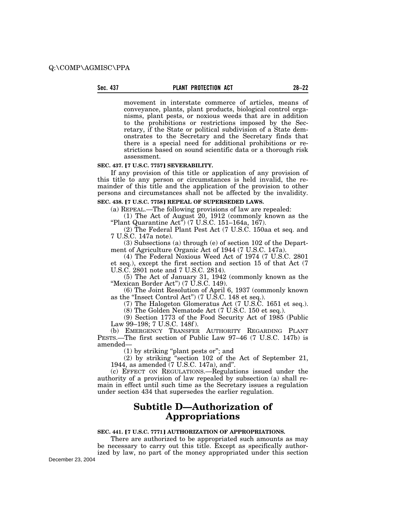#### **Sec. 437 PLANT PROTECTION ACT 28–22**

movement in interstate commerce of articles, means of conveyance, plants, plant products, biological control organisms, plant pests, or noxious weeds that are in addition to the prohibitions or restrictions imposed by the Secretary, if the State or political subdivision of a State demonstrates to the Secretary and the Secretary finds that there is a special need for additional prohibitions or restrictions based on sound scientific data or a thorough risk assessment.

#### **SEC. 437. [7 U.S.C. 7757] SEVERABILITY.**

If any provision of this title or application of any provision of this title to any person or circumstances is held invalid, the remainder of this title and the application of the provision to other persons and circumstances shall not be affected by the invalidity.

#### SEC. 438. <sup>[7 U.S.C. 7758] REPEAL OF SUPERSEDED LAWS.</sup>

(a) REPEAL.—The following provisions of law are repealed:

(1) The Act of August 20, 1912 (commonly known as the "Plant Quarantine Act") (7 U.S.C. 151–164a, 167).

(2) The Federal Plant Pest Act (7 U.S.C. 150aa et seq. and 7 U.S.C. 147a note).

(3) Subsections (a) through (e) of section 102 of the Department of Agriculture Organic Act of 1944 (7 U.S.C. 147a).

(4) The Federal Noxious Weed Act of 1974 (7 U.S.C. 2801 et seq.), except the first section and section 15 of that Act (7 U.S.C. 2801 note and 7 U.S.C. 2814).

(5) The Act of January 31, 1942 (commonly known as the ''Mexican Border Act'') (7 U.S.C. 149).

(6) The Joint Resolution of April 6, 1937 (commonly known as the ''Insect Control Act'') (7 U.S.C. 148 et seq.).

(7) The Halogeton Glomeratus Act (7 U.S.C. 1651 et seq.).

(8) The Golden Nematode Act (7 U.S.C. 150 et seq.).

(9) Section 1773 of the Food Security Act of 1985 (Public Law 99–198; 7 U.S.C. 148f ).

(b) EMERGENCY TRANSFER AUTHORITY REGARDING PLANT PESTS.—The first section of Public Law 97–46 (7 U.S.C. 147b) is amended—

(1) by striking ''plant pests or''; and

(2) by striking ''section 102 of the Act of September 21, 1944, as amended (7 U.S.C. 147a), and''.

(c) EFFECT ON REGULATIONS.—Regulations issued under the authority of a provision of law repealed by subsection (a) shall remain in effect until such time as the Secretary issues a regulation under section 434 that supersedes the earlier regulation.

### **Subtitle D—Authorization of Appropriations**

#### **SEC. 441. [7 U.S.C. 7771] AUTHORIZATION OF APPROPRIATIONS.**

There are authorized to be appropriated such amounts as may be necessary to carry out this title. Except as specifically author-

ized by law, no part of the money appropriated under this section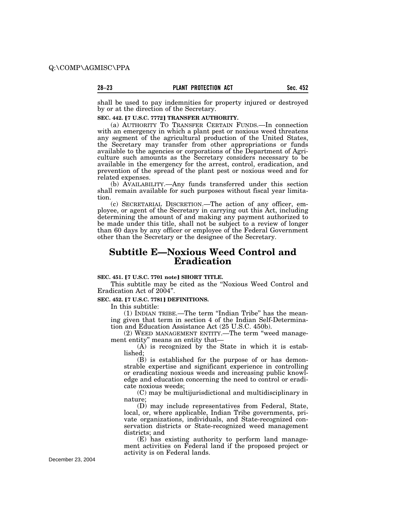shall be used to pay indemnities for property injured or destroyed by or at the direction of the Secretary.

#### **SEC. 442. [7 U.S.C. 7772] TRANSFER AUTHORITY.**

(a) AUTHORITY TO TRANSFER CERTAIN FUNDS.—In connection with an emergency in which a plant pest or noxious weed threatens any segment of the agricultural production of the United States, the Secretary may transfer from other appropriations or funds available to the agencies or corporations of the Department of Agriculture such amounts as the Secretary considers necessary to be available in the emergency for the arrest, control, eradication, and prevention of the spread of the plant pest or noxious weed and for related expenses.

(b) AVAILABILITY.—Any funds transferred under this section shall remain available for such purposes without fiscal year limitation.

(c) SECRETARIAL DISCRETION.—The action of any officer, employee, or agent of the Secretary in carrying out this Act, including determining the amount of and making any payment authorized to be made under this title, shall not be subject to a review of longer than 60 days by any officer or employee of the Federal Government other than the Secretary or the designee of the Secretary.

# **Subtitle E—Noxious Weed Control and Eradication**

#### **SEC. 451.** ø**7 U.S.C. 7701 note**¿ **SHORT TITLE.**

This subtitle may be cited as the ''Noxious Weed Control and Eradication Act of 2004''.

#### **SEC. 452. [7 U.S.C. 7781] DEFINITIONS.**

In this subtitle:

(1) INDIAN TRIBE.—The term ''Indian Tribe'' has the meaning given that term in section 4 of the Indian Self-Determination and Education Assistance Act (25 U.S.C. 450b).

(2) WEED MANAGEMENT ENTITY.—The term ''weed management entity'' means an entity that—

(A) is recognized by the State in which it is established;

(B) is established for the purpose of or has demonstrable expertise and significant experience in controlling or eradicating noxious weeds and increasing public knowledge and education concerning the need to control or eradicate noxious weeds;

(C) may be multijurisdictional and multidisciplinary in nature;

(D) may include representatives from Federal, State, local, or, where applicable, Indian Tribe governments, private organizations, individuals, and State-recognized conservation districts or State-recognized weed management districts; and

(E) has existing authority to perform land management activities on Federal land if the proposed project or activity is on Federal lands.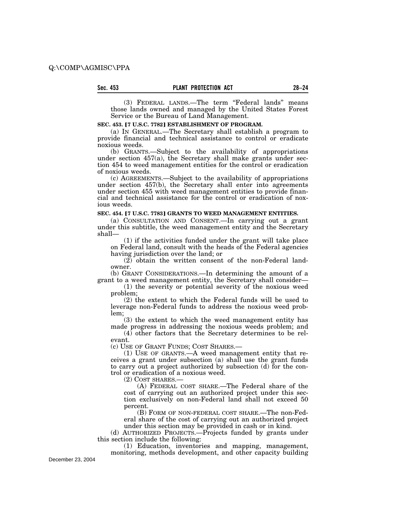(3) FEDERAL LANDS.—The term ''Federal lands'' means those lands owned and managed by the United States Forest Service or the Bureau of Land Management.

#### SEC. 453. <sup>[7 U.S.C. 7782] **ESTABLISHMENT OF PROGRAM.**</sup>

(a) IN GENERAL.—The Secretary shall establish a program to provide financial and technical assistance to control or eradicate noxious weeds.

(b) GRANTS.—Subject to the availability of appropriations under section 457(a), the Secretary shall make grants under section 454 to weed management entities for the control or eradication of noxious weeds.

(c) AGREEMENTS.—Subject to the availability of appropriations under section 457(b), the Secretary shall enter into agreements under section 455 with weed management entities to provide financial and technical assistance for the control or eradication of noxious weeds.

#### **SEC. 454.** ø**7 U.S.C. 7783**¿ **GRANTS TO WEED MANAGEMENT ENTITIES.**

(a) CONSULTATION AND CONSENT.—In carrying out a grant under this subtitle, the weed management entity and the Secretary shall—

(1) if the activities funded under the grant will take place on Federal land, consult with the heads of the Federal agencies having jurisdiction over the land; or

(2) obtain the written consent of the non-Federal landowner.

(b) GRANT CONSIDERATIONS.—In determining the amount of a grant to a weed management entity, the Secretary shall consider—

(1) the severity or potential severity of the noxious weed problem;

(2) the extent to which the Federal funds will be used to leverage non-Federal funds to address the noxious weed problem;

(3) the extent to which the weed management entity has made progress in addressing the noxious weeds problem; and

(4) other factors that the Secretary determines to be relevant.

(c) USE OF GRANT FUNDS; COST SHARES.—

(1) USE OF GRANTS.—A weed management entity that receives a grant under subsection (a) shall use the grant funds to carry out a project authorized by subsection (d) for the control or eradication of a noxious weed.

(2) COST SHARES.—

(A) FEDERAL COST SHARE.—The Federal share of the cost of carrying out an authorized project under this section exclusively on non-Federal land shall not exceed 50 percent.

(B) FORM OF NON-FEDERAL COST SHARE.—The non-Federal share of the cost of carrying out an authorized project under this section may be provided in cash or in kind.

(d) AUTHORIZED PROJECTS.—Projects funded by grants under this section include the following:

(1) Education, inventories and mapping, management, monitoring, methods development, and other capacity building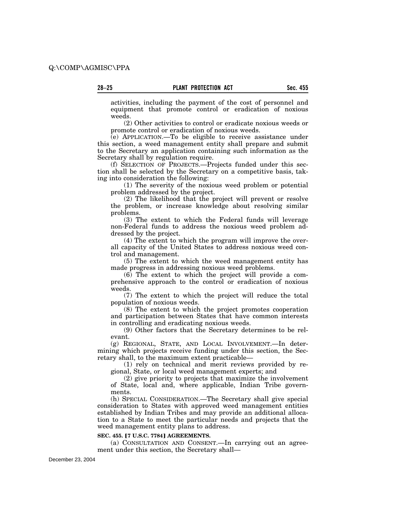activities, including the payment of the cost of personnel and equipment that promote control or eradication of noxious weeds.

(2) Other activities to control or eradicate noxious weeds or promote control or eradication of noxious weeds.

(e) APPLICATION.—To be eligible to receive assistance under this section, a weed management entity shall prepare and submit to the Secretary an application containing such information as the Secretary shall by regulation require.

(f) SELECTION OF PROJECTS.—Projects funded under this section shall be selected by the Secretary on a competitive basis, taking into consideration the following:

(1) The severity of the noxious weed problem or potential problem addressed by the project.

(2) The likelihood that the project will prevent or resolve the problem, or increase knowledge about resolving similar problems.

(3) The extent to which the Federal funds will leverage non-Federal funds to address the noxious weed problem addressed by the project.

(4) The extent to which the program will improve the overall capacity of the United States to address noxious weed control and management.

(5) The extent to which the weed management entity has made progress in addressing noxious weed problems.

(6) The extent to which the project will provide a comprehensive approach to the control or eradication of noxious weeds.

(7) The extent to which the project will reduce the total population of noxious weeds.

(8) The extent to which the project promotes cooperation and participation between States that have common interests in controlling and eradicating noxious weeds.

(9) Other factors that the Secretary determines to be relevant.

(g) REGIONAL, STATE, AND LOCAL INVOLVEMENT.—In determining which projects receive funding under this section, the Secretary shall, to the maximum extent practicable—

(1) rely on technical and merit reviews provided by regional, State, or local weed management experts; and

(2) give priority to projects that maximize the involvement of State, local and, where applicable, Indian Tribe governments.

(h) SPECIAL CONSIDERATION.—The Secretary shall give special consideration to States with approved weed management entities established by Indian Tribes and may provide an additional allocation to a State to meet the particular needs and projects that the weed management entity plans to address.

#### **SEC. 455. [7 U.S.C. 7784] AGREEMENTS.**

(a) CONSULTATION AND CONSENT.—In carrying out an agreement under this section, the Secretary shall—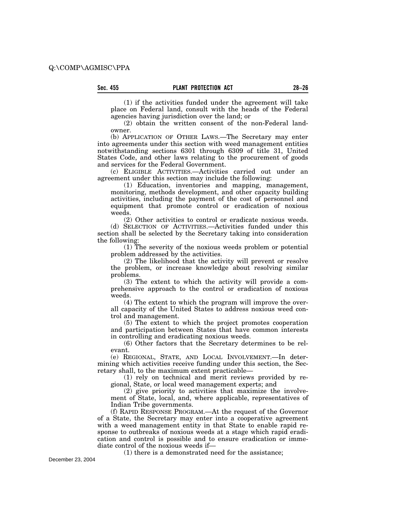(1) if the activities funded under the agreement will take place on Federal land, consult with the heads of the Federal agencies having jurisdiction over the land; or

(2) obtain the written consent of the non-Federal landowner.

(b) APPLICATION OF OTHER LAWS.—The Secretary may enter into agreements under this section with weed management entities notwithstanding sections 6301 through 6309 of title 31, United States Code, and other laws relating to the procurement of goods and services for the Federal Government.

(c) ELIGIBLE ACTIVITIES.—Activities carried out under an agreement under this section may include the following:

(1) Education, inventories and mapping, management, monitoring, methods development, and other capacity building activities, including the payment of the cost of personnel and equipment that promote control or eradication of noxious weeds.

(2) Other activities to control or eradicate noxious weeds. (d) SELECTION OF ACTIVITIES.—Activities funded under this section shall be selected by the Secretary taking into consideration the following:

(1) The severity of the noxious weeds problem or potential problem addressed by the activities.

(2) The likelihood that the activity will prevent or resolve the problem, or increase knowledge about resolving similar problems.

(3) The extent to which the activity will provide a comprehensive approach to the control or eradication of noxious weeds.

(4) The extent to which the program will improve the overall capacity of the United States to address noxious weed control and management.

(5) The extent to which the project promotes cooperation and participation between States that have common interests in controlling and eradicating noxious weeds.

(6) Other factors that the Secretary determines to be relevant.

(e) REGIONAL, STATE, AND LOCAL INVOLVEMENT.—In determining which activities receive funding under this section, the Secretary shall, to the maximum extent practicable—

(1) rely on technical and merit reviews provided by regional, State, or local weed management experts; and

(2) give priority to activities that maximize the involvement of State, local, and, where applicable, representatives of Indian Tribe governments.

(f) RAPID RESPONSE PROGRAM.—At the request of the Governor of a State, the Secretary may enter into a cooperative agreement with a weed management entity in that State to enable rapid response to outbreaks of noxious weeds at a stage which rapid eradication and control is possible and to ensure eradication or immediate control of the noxious weeds if—

(1) there is a demonstrated need for the assistance;